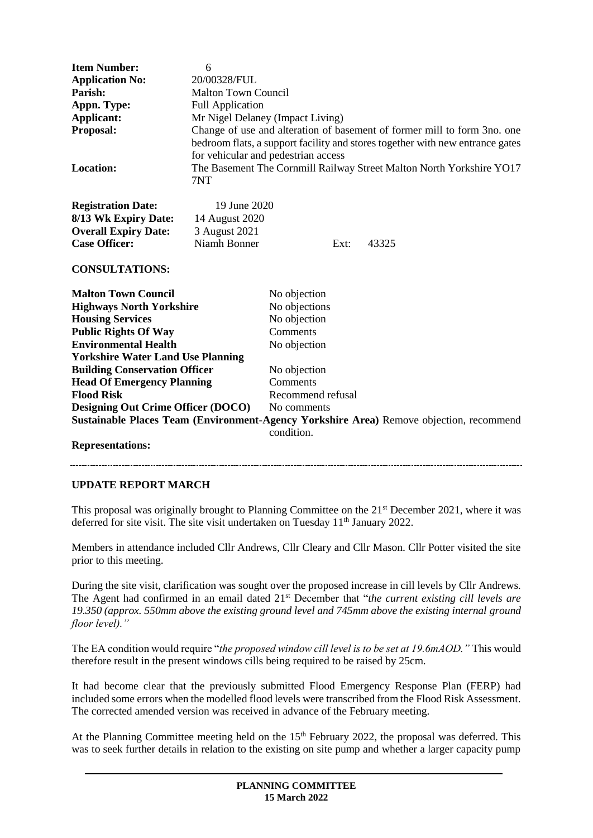| <b>Item Number:</b>                                                                     | 6                                                                             |                   |      |       |
|-----------------------------------------------------------------------------------------|-------------------------------------------------------------------------------|-------------------|------|-------|
| <b>Application No:</b>                                                                  | 20/00328/FUL                                                                  |                   |      |       |
| Parish:                                                                                 | <b>Malton Town Council</b>                                                    |                   |      |       |
| Appn. Type:                                                                             | <b>Full Application</b>                                                       |                   |      |       |
| Applicant:                                                                              | Mr Nigel Delaney (Impact Living)                                              |                   |      |       |
| Proposal:                                                                               | Change of use and alteration of basement of former mill to form 3no. one      |                   |      |       |
|                                                                                         | bedroom flats, a support facility and stores together with new entrance gates |                   |      |       |
|                                                                                         | for vehicular and pedestrian access                                           |                   |      |       |
| Location:                                                                               |                                                                               |                   |      |       |
|                                                                                         | The Basement The Cornmill Railway Street Malton North Yorkshire YO17          |                   |      |       |
|                                                                                         | 7NT                                                                           |                   |      |       |
| <b>Registration Date:</b>                                                               | 19 June 2020                                                                  |                   |      |       |
| 8/13 Wk Expiry Date:                                                                    | 14 August 2020                                                                |                   |      |       |
| <b>Overall Expiry Date:</b>                                                             | 3 August 2021                                                                 |                   |      |       |
| <b>Case Officer:</b>                                                                    | Niamh Bonner                                                                  |                   | Ext: | 43325 |
|                                                                                         |                                                                               |                   |      |       |
| <b>CONSULTATIONS:</b>                                                                   |                                                                               |                   |      |       |
| <b>Malton Town Council</b>                                                              |                                                                               | No objection      |      |       |
| <b>Highways North Yorkshire</b>                                                         |                                                                               | No objections     |      |       |
| <b>Housing Services</b>                                                                 |                                                                               | No objection      |      |       |
| <b>Public Rights Of Way</b>                                                             |                                                                               | Comments          |      |       |
| <b>Environmental Health</b>                                                             |                                                                               | No objection      |      |       |
| <b>Yorkshire Water Land Use Planning</b>                                                |                                                                               |                   |      |       |
| <b>Building Conservation Officer</b>                                                    |                                                                               | No objection      |      |       |
| <b>Head Of Emergency Planning</b>                                                       |                                                                               | Comments          |      |       |
| <b>Flood Risk</b>                                                                       |                                                                               | Recommend refusal |      |       |
| <b>Designing Out Crime Officer (DOCO)</b>                                               |                                                                               | No comments       |      |       |
|                                                                                         |                                                                               |                   |      |       |
| Sustainable Places Team (Environment-Agency Yorkshire Area) Remove objection, recommend |                                                                               |                   |      |       |
|                                                                                         |                                                                               | condition         |      |       |

## **Representations:**

## **UPDATE REPORT MARCH**

This proposal was originally brought to Planning Committee on the 21<sup>st</sup> December 2021, where it was deferred for site visit. The site visit undertaken on Tuesday 11<sup>th</sup> January 2022.

Members in attendance included Cllr Andrews, Cllr Cleary and Cllr Mason. Cllr Potter visited the site prior to this meeting.

During the site visit, clarification was sought over the proposed increase in cill levels by Cllr Andrews. The Agent had confirmed in an email dated 21st December that "*the current existing cill levels are 19.350 (approx. 550mm above the existing ground level and 745mm above the existing internal ground floor level)."*

The EA condition would require "*the proposed window cill level is to be set at 19.6mAOD."* This would therefore result in the present windows cills being required to be raised by 25cm.

It had become clear that the previously submitted Flood Emergency Response Plan (FERP) had included some errors when the modelled flood levels were transcribed from the Flood Risk Assessment. The corrected amended version was received in advance of the February meeting.

At the Planning Committee meeting held on the 15<sup>th</sup> February 2022, the proposal was deferred. This was to seek further details in relation to the existing on site pump and whether a larger capacity pump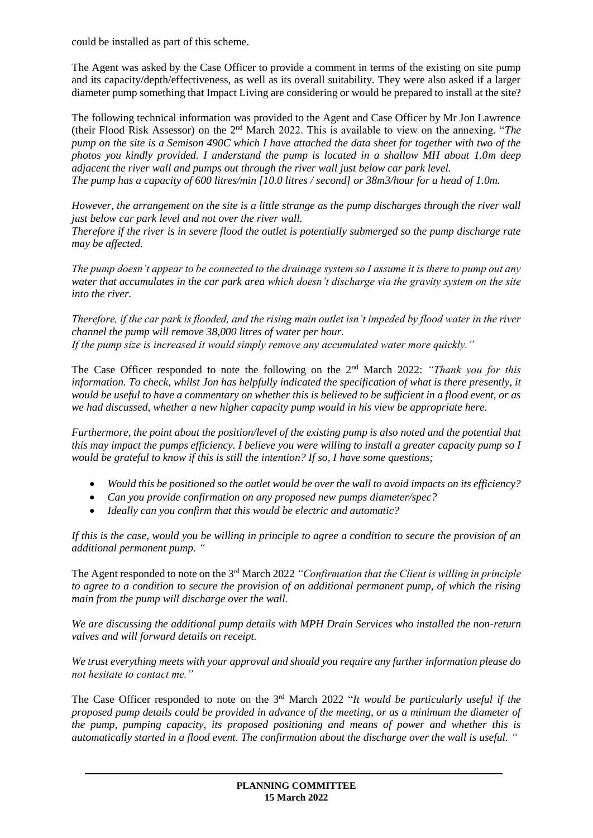could be installed as part of this scheme.

The Agent was asked by the Case Officer to provide a comment in terms of the existing on site pump and its capacity/depth/effectiveness, as well as its overall suitability. They were also asked if a larger diameter pump something that Impact Living are considering or would be prepared to install at the site?

The following technical information was provided to the Agent and Case Officer by Mr Jon Lawrence (their Flood Risk Assessor) on the 2nd March 2022. This is available to view on the annexing. "*The pump on the site is a Semison 490C which I have attached the data sheet for together with two of the photos you kindly provided. I understand the pump is located in a shallow MH about 1.0m deep adjacent the river wall and pumps out through the river wall just below car park level. The pump has a capacity of 600 litres/min [10.0 litres / second] or 38m3/hour for a head of 1.0m.*

*However, the arrangement on the site is a little strange as the pump discharges through the river wall just below car park level and not over the river wall.*

*Therefore if the river is in severe flood the outlet is potentially submerged so the pump discharge rate may be affected.*

*The pump doesn't appear to be connected to the drainage system so I assume it is there to pump out any water that accumulates in the car park area which doesn't discharge via the gravity system on the site into the river.*

*Therefore, if the car park is flooded, and the rising main outlet isn't impeded by flood water in the river channel the pump will remove 38,000 litres of water per hour. If the pump size is increased it would simply remove any accumulated water more quickly."*

The Case Officer responded to note the following on the 2<sup>nd</sup> March 2022: *"Thank you for this information. To check, whilst Jon has helpfully indicated the specification of what is there presently, it would be useful to have a commentary on whether this is believed to be sufficient in a flood event, or as we had discussed, whether a new higher capacity pump would in his view be appropriate here.* 

*Furthermore, the point about the position/level of the existing pump is also noted and the potential that this may impact the pumps efficiency. I believe you were willing to install a greater capacity pump so I would be grateful to know if this is still the intention? If so, I have some questions;* 

- *Would this be positioned so the outlet would be over the wall to avoid impacts on its efficiency?*
- *Can you provide confirmation on any proposed new pumps diameter/spec?*
- *Ideally can you confirm that this would be electric and automatic?*

*If this is the case, would you be willing in principle to agree a condition to secure the provision of an additional permanent pump. "*

The Agent responded to note on the 3rd March 2022 *"Confirmation that the Client is willing in principle to agree to a condition to secure the provision of an additional permanent pump, of which the rising main from the pump will discharge over the wall.*

*We are discussing the additional pump details with MPH Drain Services who installed the non-return valves and will forward details on receipt.*

*We trust everything meets with your approval and should you require any further information please do not hesitate to contact me."*

The Case Officer responded to note on the 3rd March 2022 "*It would be particularly useful if the proposed pump details could be provided in advance of the meeting, or as a minimum the diameter of the pump, pumping capacity, its proposed positioning and means of power and whether this is automatically started in a flood event. The confirmation about the discharge over the wall is useful. "*